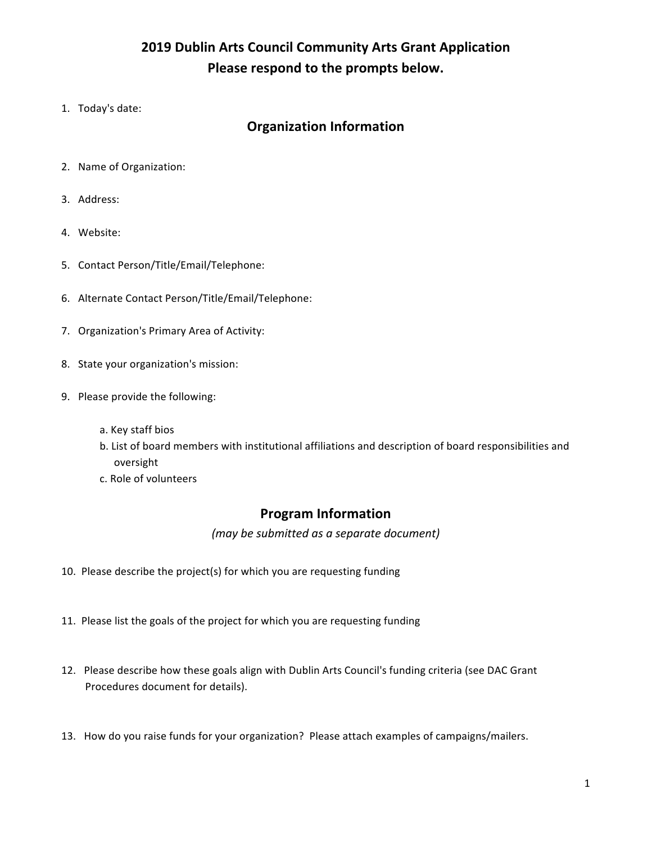# **2019 Dublin Arts Council Community Arts Grant Application** Please respond to the prompts below.

1. Today's date:

### **Organization Information**

- 2. Name of Organization:
- 3. Address:
- 4. Website:
- 5. Contact Person/Title/Email/Telephone:
- 6. Alternate Contact Person/Title/Email/Telephone:
- 7. Organization's Primary Area of Activity:
- 8. State your organization's mission:
- 9. Please provide the following:
	- a. Key staff bios
	- b. List of board members with institutional affiliations and description of board responsibilities and oversight
	- c. Role of volunteers

#### **Program Information**

*(may be submitted as a separate document)*

- 10. Please describe the project(s) for which you are requesting funding
- 11. Please list the goals of the project for which you are requesting funding
- 12. Please describe how these goals align with Dublin Arts Council's funding criteria (see DAC Grant Procedures document for details).
- 13. How do you raise funds for your organization? Please attach examples of campaigns/mailers.